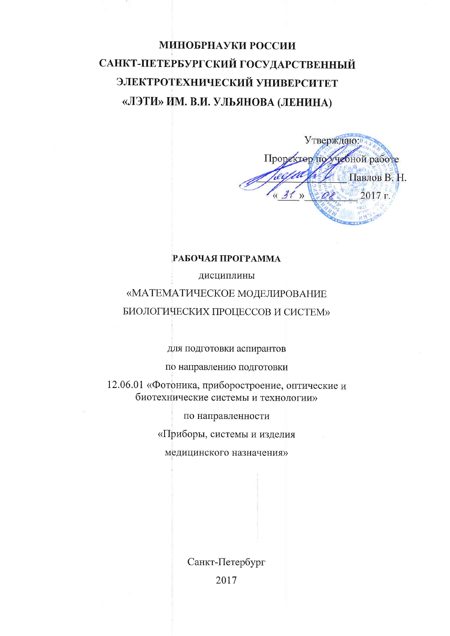# МИНОБРНАУКИ РОССИИ САНКТ-ПЕТЕРБУРГСКИЙ ГОСУДАРСТВЕННЫЙ ЭЛЕКТРОТЕХНИЧЕСКИЙ УНИВЕРСИТЕТ «ЛЭТИ» ИМ. В.И. УЛЬЯНОВА (ЛЕНИНА)

Утверждаю: Проректор похудоной работе Павлов В. Н. 2017 г.  $\rho_{\lambda}$ 

#### РАБОЧАЯ ПРОГРАММА

дисциплины

## «МАТЕМАТИЧЕСКОЕ МОДЕЛИРОВАНИЕ БИОЛОГИЧЕСКИХ ПРОЦЕССОВ И СИСТЕМ»

для подготовки аспирантов

по направлению подготовки

12.06.01 «Фотоника, приборостроение, оптические и биотехнические системы и технологии»

по направленности

«Приборы, системы и изделия

медицинского назначения»

Санкт-Петербург 2017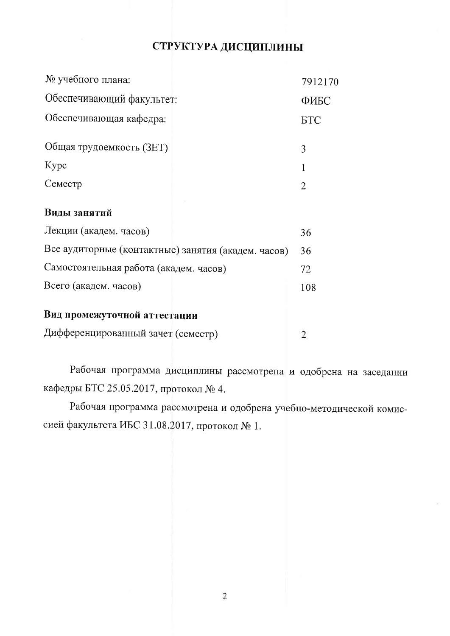## СТРУКТУРА ДИСЦИПЛИНЫ

| № учебного плана:                                   | 7912170    |
|-----------------------------------------------------|------------|
| Обеспечивающий факультет:                           | ФИБС       |
| Обеспечивающая кафедра:                             | <b>FTC</b> |
| Общая трудоемкость (ЗЕТ)                            | 3          |
| Kypc                                                |            |
| Семестр                                             | 2          |
| Виды занятий                                        |            |
| Лекции (академ. часов)                              | 36         |
| Все аудиторные (контактные) занятия (академ. часов) | 36         |
| Самостоятельная работа (академ. часов)              | 72         |
| Всего (академ. часов)                               | 108        |
|                                                     |            |

## Вид промежуточной аттестации

Дифференцированный зачет (семестр) 2

Рабочая программа дисциплины рассмотрена и одобрена на заседании кафедры БТС 25.05.2017, протокол № 4.

Рабочая программа рассмотрена и одобрена учебно-методической комиссией факультета ИБС 31.08.2017, протокол № 1.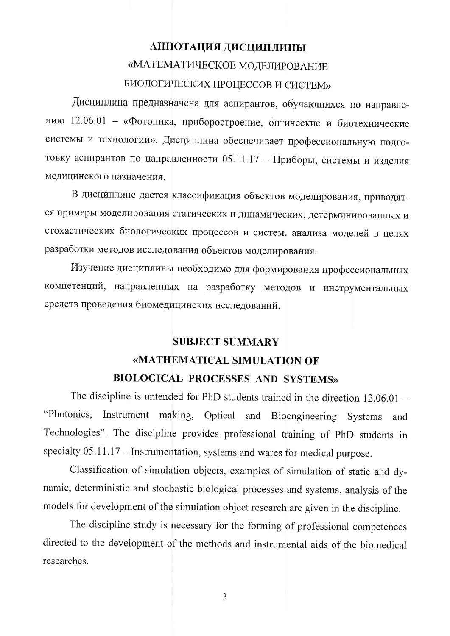# АННОТАЦИЯ ДИСЦИПЛИНЫ «МАТЕМАТИЧЕСКОЕ МОДЕЛИРОВАНИЕ БИОЛОГИЧЕСКИХ ПРОЦЕССОВ И СИСТЕМ»

Дисциплина предназначена для аспирантов, обучающихся по направлению 12.06.01 - «Фотоника, приборостроение, оптические и биотехнические системы и технологии». Дисциплина обеспечивает профессиональную подготовку аспирантов по направленности 05.11.17 - Приборы, системы и изделия медицинского назначения.

В дисциплине дается классификация объектов моделирования, приводятся примеры моделирования статических и динамических, детерминированных и стохастических биологических процессов и систем, анализа моделей в целях разработки методов исследования объектов моделирования.

Изучение дисциплины необходимо для формирования профессиональных компетенций, направленных на разработку методов и инструментальных средств проведения биомедицинских исследований.

# **SUBJECT SUMMARY** «MATHEMATICAL SIMULATION OF BIOLOGICAL PROCESSES AND SYSTEMS»

The discipline is untended for PhD students trained in the direction  $12.06.01 -$ "Photonics, Instrument making, Optical and Bioengineering Systems and Technologies". The discipline provides professional training of PhD students in specialty  $05.11.17$  – Instrumentation, systems and wares for medical purpose.

Classification of simulation objects, examples of simulation of static and dynamic, deterministic and stochastic biological processes and systems, analysis of the models for development of the simulation object research are given in the discipline.

The discipline study is necessary for the forming of professional competences directed to the development of the methods and instrumental aids of the biomedical researches.

3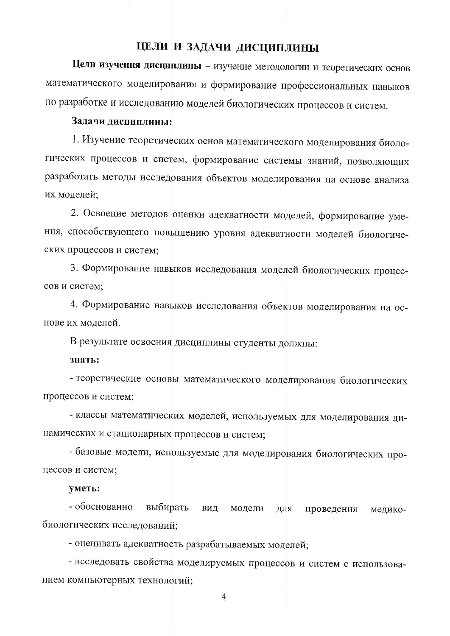#### ЦЕЛИ И ЗАДАЧИ ДИСЦИПЛИНЫ

Цели изучения дисциплины - изучение методологии и теоретических основ математического моделирования и формирование профессиональных навыков по разработке и исследованию моделей биологических процессов и систем.

#### Задачи дисциплины:

1. Изучение теоретических основ математического моделирования биологических процессов и систем, формирование системы знаний, позволяющих разработать методы исследования объектов моделирования на основе анализа их моделей:

2. Освоение методов оценки адекватности моделей, формирование умения, способствующего повышению уровня адекватности моделей биологических процессов и систем;

3. Формирование навыков исследования моделей биологических процессов и систем:

4. Формирование навыков исследования объектов моделирования на основе их моделей.

В результате освоения дисциплины студенты должны:

знать:

- теоретические основы математического моделирования биологических процессов и систем;

- классы математических моделей, используемых для моделирования динамических и стационарных процессов и систем;

- базовые модели, используемые для моделирования биологических процессов и систем;

#### уметь:

- обоснованно выбирать вид модели ДЛЯ проведения медикобиологических исследований;

- оценивать адекватность разрабатываемых моделей;

- исследовать свойства моделируемых процессов и систем с использованием компьютерных технологий;

 $\overline{4}$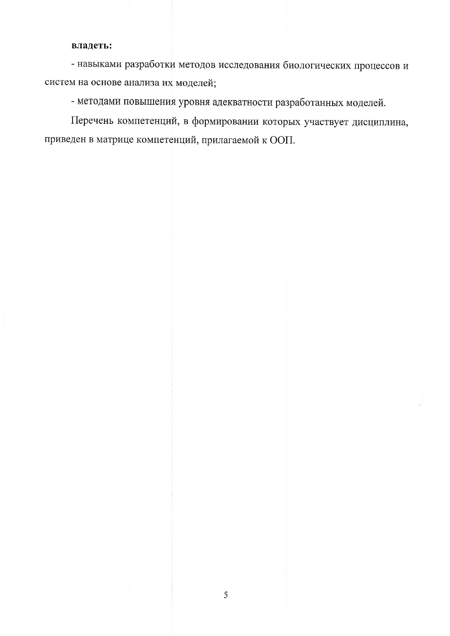#### владеть:

- навыками разработки методов исследования биологических процессов и систем на основе анализа их моделей;

- методами повышения уровня адекватности разработанных моделей.

Перечень компетенций, в формировании которых участвует дисциплина, приведен в матрице компетенций, прилагаемой к ООП.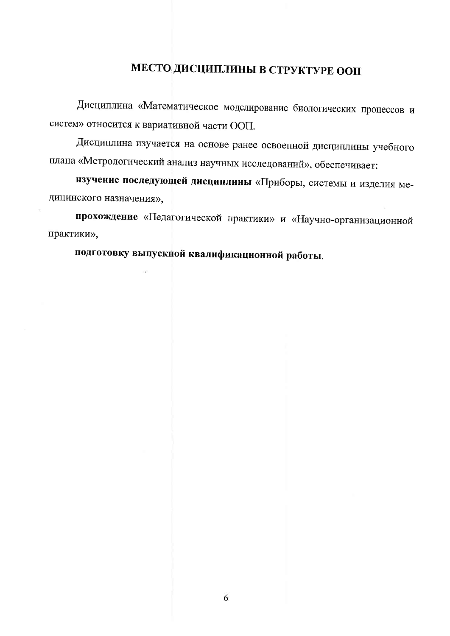# МЕСТО ДИСЦИПЛИНЫ В СТРУКТУРЕ ООП

Дисциплина «Математическое моделирование биологических процессов и систем» относится к вариативной части ООП.

Дисциплина изучается на основе ранее освоенной дисциплины учебного плана «Метрологический анализ научных исследований», обеспечивает:

изучение последующей дисциплины «Приборы, системы и изделия медицинского назначения»,

прохождение «Педагогической практики» и «Научно-организационной практики»,

подготовку выпускной квалификационной работы.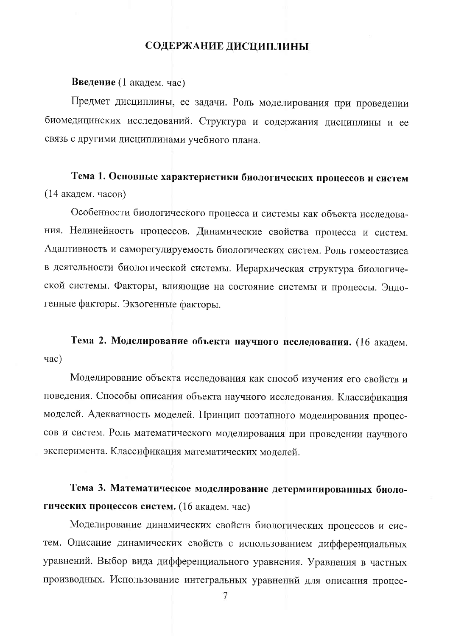#### СОДЕРЖАНИЕ ДИСЦИПЛИНЫ

Введение (1 академ. час)

Предмет дисциплины, ее задачи. Роль моделирования при проведении биомедицинских исследований. Структура и содержания дисциплины и ее связь с другими дисциплинами учебного плана.

# Тема 1. Основные характеристики биологических процессов и систем (14 академ. часов)

Особенности биологического процесса и системы как объекта исследования. Нелинейность процессов. Динамические свойства процесса и систем. Адаптивность и саморегулируемость биологических систем. Роль гомеостазиса в деятельности биологической системы. Иерархическая структура биологической системы. Факторы, влияющие на состояние системы и процессы. Эндогенные факторы. Экзогенные факторы.

## Тема 2. Моделирование объекта научного исследования. (16 академ. час)

Моделирование объекта исследования как способ изучения его свойств и поведения. Способы описания объекта научного исследования. Классификация моделей. Адекватность моделей. Принцип поэтапного моделирования процессов и систем. Роль математического моделирования при проведении научного эксперимента. Классификация математических моделей.

Тема 3. Математическое моделирование детерминированных биологических процессов систем. (16 академ. час)

Моделирование динамических свойств биологических процессов и систем. Описание динамических свойств с использованием дифференциальных уравнений. Выбор вида дифференциального уравнения. Уравнения в частных производных. Использование интегральных уравнений для описания процес-

7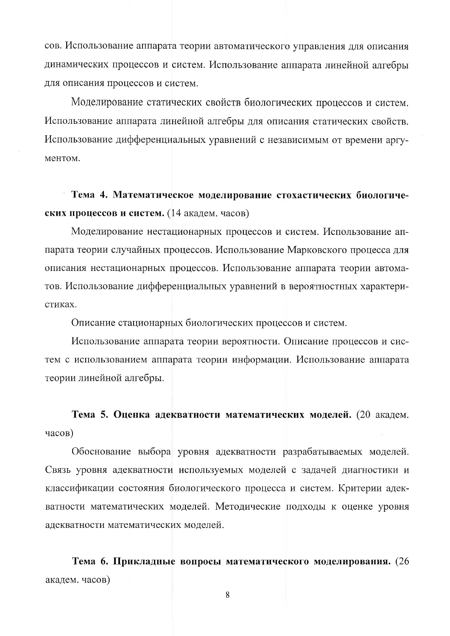сов. Использование аппарата теории автоматического управления для описания динамических процессов и систем. Использование аппарата линейной алгебры для описания процессов и систем.

Моделирование статических свойств биологических процессов и систем. Использование аппарата линейной алгебры для описания статических свойств. Использование дифференциальных уравнений с независимым от времени аргументом.

Тема 4. Математическое моделирование стохастических биологических процессов и систем. (14 академ. часов)

Моделирование нестационарных процессов и систем. Использование аппарата теории случайных процессов. Использование Марковского процесса для описания нестационарных процессов. Использование аппарата теории автоматов. Использование дифференциальных уравнений в вероятностных характеристиках.

Описание стационарных биологических процессов и систем.

Использование аппарата теории вероятности. Описание процессов и систем с использованием аппарата теории информации. Использование аппарата теории линейной алгебры.

Тема 5. Оценка адекватности математических моделей. (20 академ. часов)

Обоснование выбора уровня адекватности разрабатываемых моделей. Связь уровня адекватности используемых моделей с задачей диагностики и классификации состояния биологического процесса и систем. Критерии адекватности математических моделей. Методические подходы к оценке уровня адекватности математических моделей.

Тема 6. Прикладные вопросы математического моделирования. (26 академ. часов)

8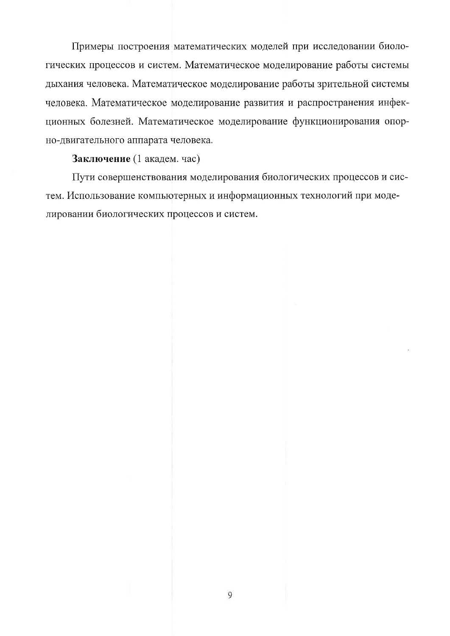Примеры построения математических моделей при исследовании биологических процессов и систем. Математическое моделирование работы системы дыхания человека. Математическое моделирование работы зрительной системы человека. Математическое моделирование развития и распространения инфекционных болезней. Математическое моделирование функционирования опорно-двигательного аппарата человека.

#### Заключение (1 академ. час)

Пути совершенствования моделирования биологических процессов и систем. Использование компьютерных и информационных технологий при моделировании биологических процессов и систем.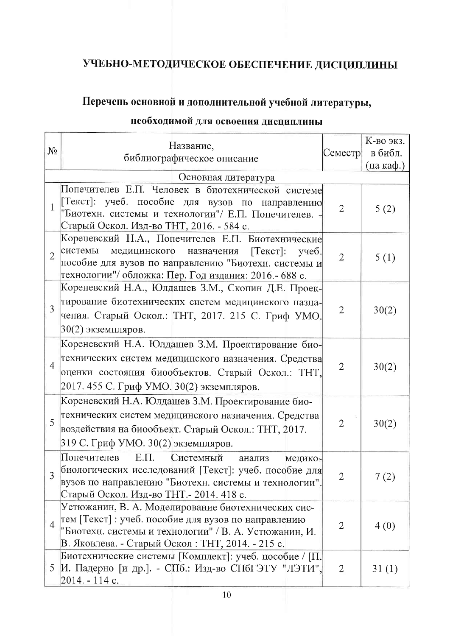# УЧЕБНО-МЕТОДИЧЕСКОЕ ОБЕСПЕЧЕНИЕ ДИСЦИПЛИНЫ

## Перечень основной и дополнительной учебной литературы,

# необходимой для освоения дисциплины

| $N_2$          | Название,<br>библиографическое описание                                                                                                                                                                                               |                | К-во экз.<br>в библ.<br>Семестр<br>(на каф.) |
|----------------|---------------------------------------------------------------------------------------------------------------------------------------------------------------------------------------------------------------------------------------|----------------|----------------------------------------------|
|                | Основная литература                                                                                                                                                                                                                   |                |                                              |
| 1              | Попечителев Е.П. Человек в биотехнической системе<br>  Текст]: учеб. пособие для вузов по направлению <br>"Биотехн. системы и технологии"/ Е.П. Попечителев.<br>Старый Оскол. Изд-во ТНТ, 2016. - 584 с.                              | $\overline{2}$ | 5(2)                                         |
| $\overline{2}$ | Кореневский Н.А., Попечителев Е.П. Биотехнические<br>системы<br>$[Tekc]$ :<br>медицинского<br>назначения<br>$y$ чеб.<br>пособие для вузов по направлению "Биотехн. системы и<br>технологии"/ обложка: Пер. Год издания: 2016.- 688 с. | $\overline{2}$ | 5(1)                                         |
| 3              | Кореневский Н.А., Юлдашев З.М., Скопин Д.Е. Проек-<br>тирование биотехнических систем медицинского назна-<br>чения. Старый Оскол.: ТНТ, 2017. 215 С. Гриф УМО.<br>30(2) экземпляров.                                                  | $\overline{2}$ | 30(2)                                        |
| $\overline{4}$ | Кореневский Н.А. Юлдашев З.М. Проектирование био-<br>технических систем медицинского назначения. Средства<br>оценки состояния биообъектов. Старый Оскол.: ТНТ,<br>2017. 455 С. Гриф УМО. 30(2) экземпляров.                           | $\overline{2}$ | 30(2)                                        |
| 5              | Кореневский Н.А. Юлдашев З.М. Проектирование био-<br>технических систем медицинского назначения. Средства<br>воздействия на биообъект. Старый Оскол.: ТНТ, 2017.<br>319 С. Гриф УМО. 30(2) экземпляров.                               | $\overline{2}$ | 30(2)                                        |
| $\overline{3}$ | $E.\Pi.$<br>Попечителев<br>Системный<br>анализ<br>медико-<br>биологических исследований [Текст]: учеб. пособие для<br>вузов по направлению "Биотехн. системы и технологии".<br>Старый Оскол. Изд-во ТНТ. - 2014. 418 с.               | $\overline{2}$ | 7(2)                                         |
| 4              | Устюжанин, В. А. Моделирование биотехнических сис-<br>тем [Текст] : учеб. пособие для вузов по направлению<br>"Биотехн. системы и технологии" / В. А. Устюжанин, И.<br>В. Яковлева. - Старый Оскол: ТНТ, 2014. - 215 с.               | $\overline{2}$ | 4(0)                                         |
| 5              | Биотехнические системы [Комплект]: учеб. пособие / [П.<br>И. Падерно [и др.]. - СПб.: Изд-во СПбГЭТУ "ЛЭТИ",<br>2014. - 114 c.                                                                                                        | $\overline{2}$ | 31(1)                                        |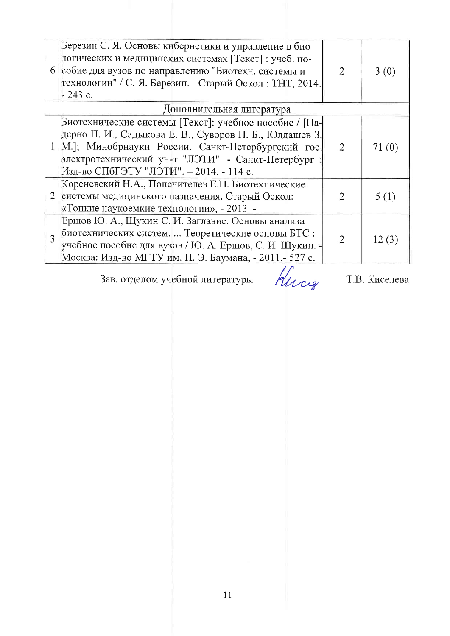|   | Березин С. Я. Основы кибернетики и управление в био-<br>логических и медицинских системах [Текст] : учеб. по-<br>6 собие для вузов по направлению "Биотехн. системы и<br>технологии" / С. Я. Березин. - Старый Оскол: ТНТ, 2014.<br>$-243$ c.                         |                | 3(0)  |  |
|---|-----------------------------------------------------------------------------------------------------------------------------------------------------------------------------------------------------------------------------------------------------------------------|----------------|-------|--|
|   | Дополнительная литература                                                                                                                                                                                                                                             |                |       |  |
|   | Биотехнические системы [Текст]: учебное пособие / [Па-<br>дерно П. И., Садыкова Е. В., Суворов Н. Б., Юлдашев З.<br>М.]; Минобрнауки России, Санкт-Петербургский гос.<br>электротехнический ун-т "ЛЭТИ". - Санкт-Петербург<br>Изд-во СПбГЭТУ "ЛЭТИ". – 2014. - 114 с. |                | 71(0) |  |
|   | Кореневский Н.А., Попечителев Е.П. Биотехнические<br>2 системы медицинского назначения. Старый Оскол:<br>«Тонкие наукоемкие технологии», - 2013. -                                                                                                                    | 2              | 5 (1) |  |
| 3 | Ершов Ю. А., Щукин С. И. Заглавие. Основы анализа<br>биотехнических систем.  Теоретические основы БТС :<br> учебное пособие для вузов / Ю. А. Ершов, С. И. Щукин. - <br>Москва: Изд-во МГТУ им. Н. Э. Баумана, - 2011.- 527 с.                                        | $\overline{2}$ | 12(3) |  |

Зав. отделом учебной литературы

Huces

Т.В. Киселева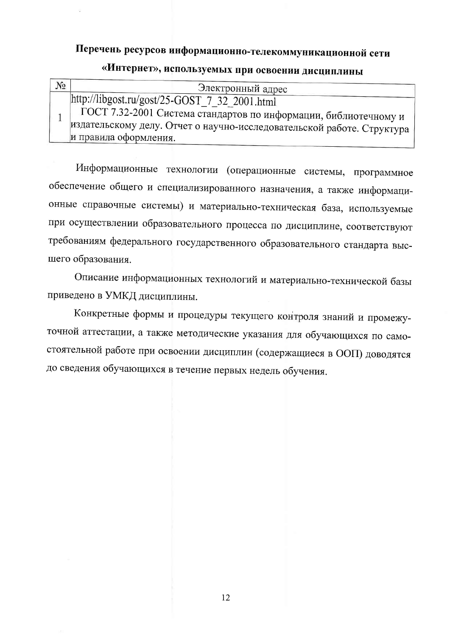# Перечень ресурсов информационно-телекоммуникационной сети

| № | Электронный адрес                                                                                                                                                                                                                                                                              |
|---|------------------------------------------------------------------------------------------------------------------------------------------------------------------------------------------------------------------------------------------------------------------------------------------------|
|   | $\frac{\text{http://libgost.ru/gost/25-GOST} 7_{32} 2001.html}{\text{http://libgost.ru/gost/25-GOST} 7_{32} 2001.html}$<br>ГОСТ 7.32-2001 Система стандартов по информации, библиотечному и<br>издательскому делу. Отчет о научно-исследовательской работе. Структура<br>и правила оформления. |

# «Интернет», используемых при освоении дисциплины

Информационные технологии (операционные системы, программное обеспечение общего и специализированного назначения, а также информационные справочные системы) и материально-техническая база, используемые при осуществлении образовательного процесса по дисциплине, соответствуют требованиям федерального государственного образовательного стандарта высшего образования.

Описание информационных технологий и материально-технической базы приведено в УМКД дисциплины.

Конкретные формы и процедуры текущего контроля знаний и промежуточной аттестации, а также методические указания для обучающихся по самостоятельной работе при освоении дисциплин (содержащиеся в ООП) доводятся до сведения обучающихся в течение первых недель обучения.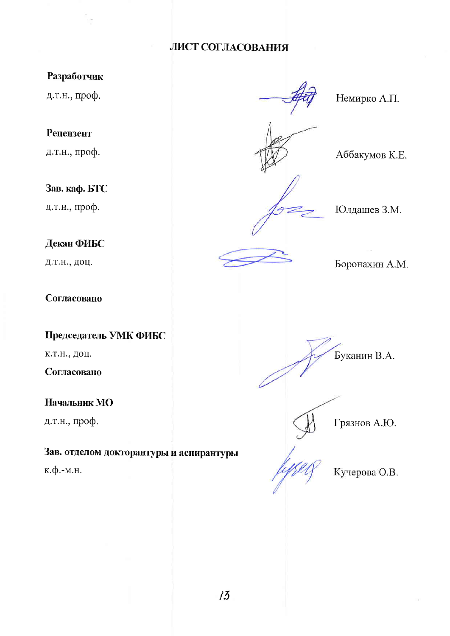### ЛИСТ СОГЛАСОВАНИЯ

## Разработчик

д.т.н., проф.

### Рецензент

д.т.н., проф.

### Зав. каф. БТС

д.т.н., проф.

## Декан ФИБС

д.т.н., доц.

### Согласовано

### Председатель УМК ФИБС

к.т.н., доц.

### Согласовано

## Начальник МО

д.т.н., проф.

## Зав. отделом докторантуры и аспирантуры

к.ф.-м.н.





Грязнов А.Ю.

Кучерова О.В.